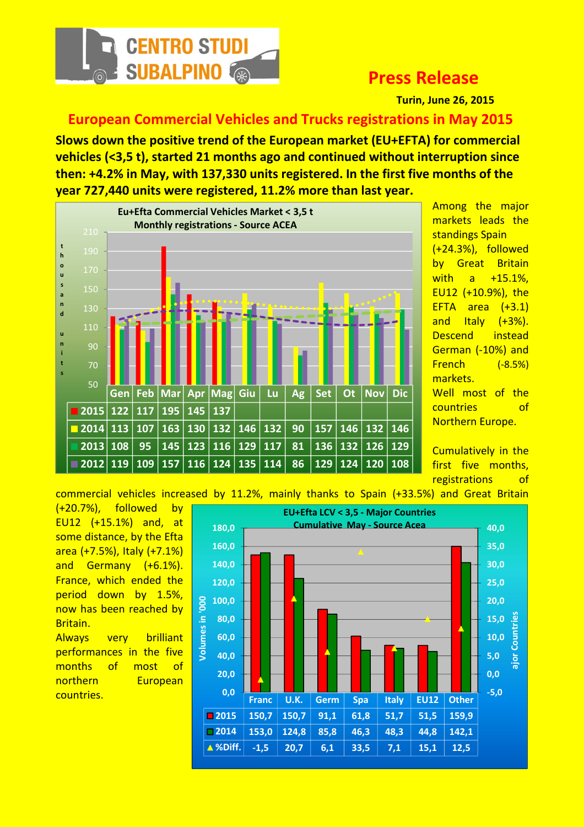

## Press Release

Turin, June 26, 2015

European Commercial Vehicles and Trucks registrations in May 2015

Slows down the positive trend of the European market (EU+EFTA) for commercial vehicles (<3,5 t), started 21 months ago and continued without interruption since then: +4.2% in May, with 137,330 units registered. In the first five months of the year 727,440 units were registered, 11.2% more than last year.



Among the major markets leads the standings Spain (+24.3%), followed by Great Britain with a +15.1%, EU12 (+10.9%), the EFTA area  $(+3.1)$ and Italy  $(+3%)$ . Descend instead German (-10%) and French (-8.5%) markets. Well most of the countries of Northern Europe.

Cumulatively in the first five months, registrations of

commercial vehicles increased by 11.2%, mainly thanks to Spain (+33.5%) and Great Britain

(+20.7%), followed by EU12 (+15.1%) and, at some distance, by the Efta area (+7.5%), Italy (+7.1%) and Germany (+6.1%). France, which ended the period down by 1.5%, now has been reached by Britain.

Always very brilliant performances in the five months of most of northern European

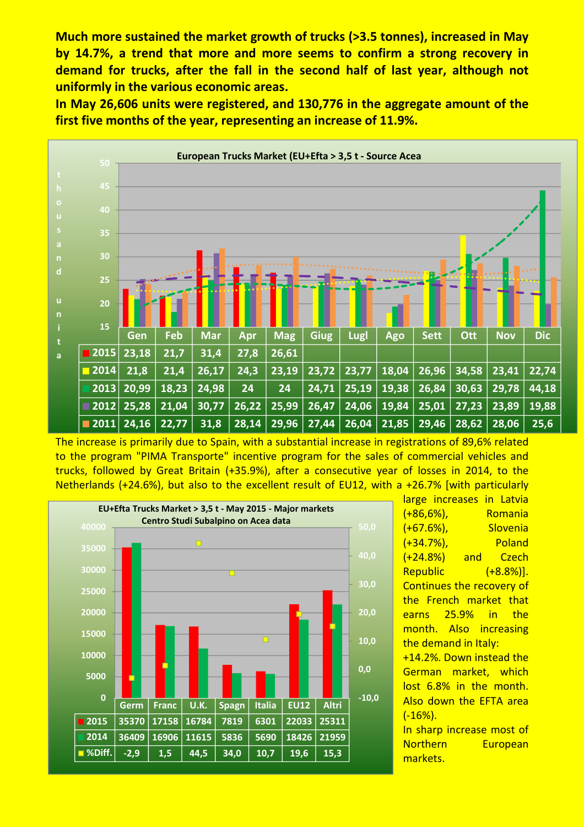Much more sustained the market growth of trucks (>3.5 tonnes), increased in May by 14.7%, a trend that more and more seems to confirm a strong recovery in demand for trucks, after the fall in the second half of last year, although not uniformly in the various economic areas.

In May 26,606 units were registered, and 130,776 in the aggregate amount of the first five months of the year, representing an increase of 11.9%.



The increase is primarily due to Spain, with a substantial increase in registrations of 89,6% related to the program "PIMA Transporte" incentive program for the sales of commercial vehicles and trucks, followed by Great Britain (+35.9%), after a consecutive year of losses in 2014, to the Netherlands (+24.6%), but also to the excellent result of EU12, with a +26.7% [with particularly



large increases in Latvia (+86,6%), Romania (+67.6%), Slovenia (+34.7%), Poland (+24.8%) and Czech Republic (+8.8%)]. Continues the recovery of the French market that earns 25.9% in the month. Also increasing the demand in Italy: +14.2%. Down instead the German market, which lost 6.8% in the month. Also down the EFTA area (-16%).

In sharp increase most of Northern European markets.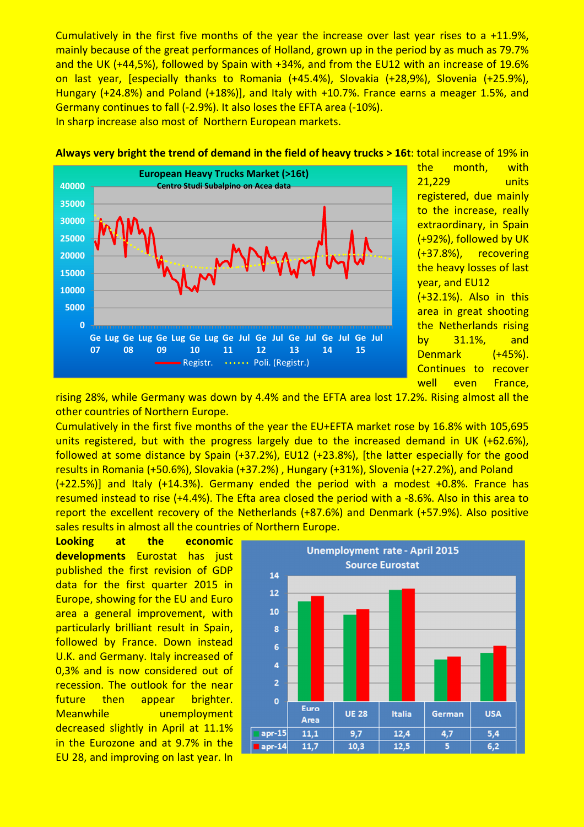Cumulatively in the first five months of the year the increase over last year rises to a +11.9%, mainly because of the great performances of Holland, grown up in the period by as much as 79.7% and the UK (+44,5%), followed by Spain with +34%, and from the EU12 with an increase of 19.6% on last year, [especially thanks to Romania (+45.4%), Slovakia (+28,9%), Slovenia (+25.9%), Hungary (+24.8%) and Poland (+18%)], and Italy with +10.7%. France earns a meager 1.5%, and Germany continues to fall (-2.9%). It also loses the EFTA area (-10%). In sharp increase also most of Northern European markets.

## Always very bright the trend of demand in the field of heavy trucks > 16t: total increase of 19% in



the month, with 21,229 units registered, due mainly to the increase, really extraordinary, in Spain (+92%), followed by UK (+37.8%), recovering the heavy losses of last year, and EU12 (+32.1%). Also in this

area in great shooting the Netherlands rising by 31.1%, and Denmark (+45%). Continues to recover well even France,

rising 28%, while Germany was down by 4.4% and the EFTA area lost 17.2%. Rising almost all the other countries of Northern Europe.

Cumulatively in the first five months of the year the EU+EFTA market rose by 16.8% with 105,695 units registered, but with the progress largely due to the increased demand in UK (+62.6%), followed at some distance by Spain (+37.2%), EU12 (+23.8%), [the latter especially for the good results in Romania (+50.6%), Slovakia (+37.2%) , Hungary (+31%), Slovenia (+27.2%), and Poland (+22.5%)] and Italy (+14.3%). Germany ended the period with a modest +0.8%. France has resumed instead to rise (+4.4%). The Efta area closed the period with a -8.6%. Also in this area to report the excellent recovery of the Netherlands (+87.6%) and Denmark (+57.9%). Also positive

Looking at the economic developments Eurostat has just published the first revision of GDP data for the first quarter 2015 in Europe, showing for the EU and Euro area a general improvement, with particularly brilliant result in Spain, followed by France. Down instead U.K. and Germany. Italy increased of 0,3% and is now considered out of recession. The outlook for the near future then appear brighter. Meanwhile unemployment decreased slightly in April at 11.1% in the Eurozone and at 9.7% in the EU 28, and improving on last year. In